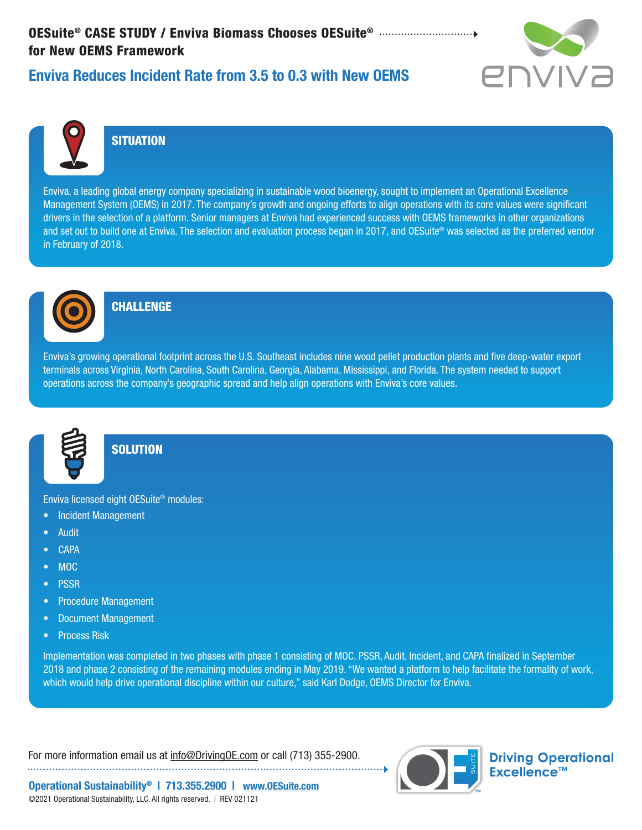# OESuite® CASE STUDY / Enviva Biomass Chooses OESuite® for New OEMS Framework



## Enviva Reduces Incident Rate from 3.5 to 0.3 with New OEMS



### **SITUATION**

Enviva, a leading global energy company specializing in sustainable wood bioenergy, sought to implement an Operational Excellence Management System (OEMS) in 2017. The company's growth and ongoing efforts to align operations with its core values were significant drivers in the selection of a platform. Senior managers at Enviva had experienced success with OEMS frameworks in other organizations and set out to build one at Enviva. The selection and evaluation process began in 2017, and OESuite® was selected as the preferred vendor in February of 2018.



#### **CHALLENGE**

Enviva's growing operational footprint across the U.S. Southeast includes nine wood pellet production plants and five deep-water export terminals across Virginia, North Carolina, South Carolina, Georgia, Alabama, Mississippi, and Florida. The system needed to support operations across the company's geographic spread and help align operations with Enviva's core values.



#### **SOLUTION**

Enviva licensed eight OESuite® modules:

- Incident Management
- Audit
- CAPA
- MOC
- PSSR
- Procedure Management
- Document Management
- Process Risk

Implementation was completed in two phases with phase 1 consisting of MOC, PSSR, Audit, Incident, and CAPA finalized in September 2018 and phase 2 consisting of the remaining modules ending in May 2019. "We wanted a platform to help facilitate the formality of work, which would help drive operational discipline within our culture," said Karl Dodge, OEMS Director for Enviva.

For more information email us at info@DrivingOE.com or call (713) 355-2900. 



**Driving Operational** Excellence™